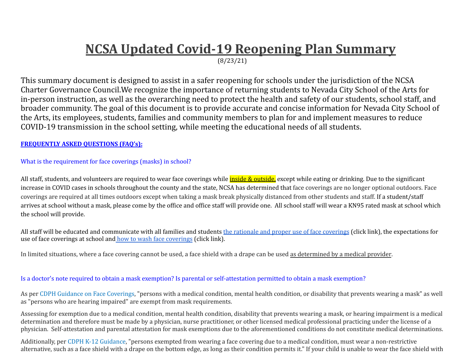# **NCSA Updated Covid-19 Reopening Plan Summary**

(8/23/21)

This summary document is designed to assist in a safer reopening for schools under the jurisdiction of the NCSA Charter Governance Council.We recognize the importance of returning students to Nevada City School of the Arts for in-person instruction, as well as the overarching need to protect the health and safety of our students, school staff, and broader community. The goal of this document is to provide accurate and concise information for Nevada City School of the Arts, its employees, students, families and community members to plan for and implement measures to reduce COVID-19 transmission in the school setting, while meeting the educational needs of all students.

**FREQUENTLY ASKED QUESTIONS (FAQ's):**

What is the requirement for face coverings (masks) in school?

All staff, students, and volunteers are required to wear face coverings while inside & outside, except while eating or drinking. Due to the significant increase in COVID cases in schools throughout the county and the state, NCSA has determined that face coverings are no longer optional outdoors. Face coverings are required at all times outdoors except when taking a mask break physically distanced from other students and staff. If a student/staff arrives at school without a mask, please come by the office and office staff will provide one. All school staff will wear a KN95 rated mask at school which the school will provide.

All staff will be educated and communicate with all families and students the rationale and proper use of face [coverings](https://www.cdc.gov/coronavirus/2019-ncov/prevent-getting-sick/diy-cloth-face-coverings.html) (click link), the expectations for use of face coverings at school and how to wash face [coverings](https://www.cdc.gov/coronavirus/2019-ncov/prevent-getting-sick/about-face-coverings.html) (click link).

In limited situations, where a face covering cannot be used, a face shield with a drape can be used as determined by a medical provider.

Is a doctor's note required to obtain a mask exemption? Is parental or self-attestation permitted to obtain a mask exemption?

As per CDPH Guidance on Face [Coverings,](https://www.cdph.ca.gov/Programs/CID/DCDC/Pages/COVID-19/guidance-for-face-coverings.aspx) "persons with a medical condition, mental health condition, or disability that prevents wearing a mask" as well as "persons who are hearing impaired" are exempt from mask requirements.

Assessing for exemption due to a medical condition, mental health condition, disability that prevents wearing a mask, or hearing impairment is a medical determination and therefore must be made by a physician, nurse practitioner, or other licensed medical professional practicing under the license of a physician. Self-attestation and parental attestation for mask exemptions due to the aforementioned conditions do not constitute medical determinations.

Additionally, per CDPH K-12 [Guidance,](https://www.cdph.ca.gov/Programs/CID/DCDC/Pages/COVID-19/K-12-Guidance-2021-22-School-Year.aspx) "persons exempted from wearing a face covering due to a medical condition, must wear a non-restrictive alternative, such as a face shield with a drape on the bottom edge, as long as their condition permits it." If your child is unable to wear the face shield with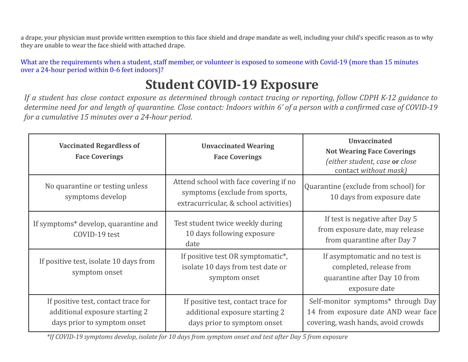a drape, your physician must provide written exemption to this face shield and drape mandate as well, including your child's specific reason as to why they are unable to wear the face shield with attached drape.

What are the requirements when a student, staff member, or volunteer is exposed to someone with Covid-19 (more than 15 minutes over a 24-hour period within 0-6 feet indoors)?

# **Student COVID-19 Exposure**

If a student has close contact exposure as determined through contact tracing or reporting, follow CDPH K-12 guidance to determine need for and length of quarantine. Close contact: Indoors within 6' of a person with a confirmed case of COVID-19 *for a cumulative 15 minutes over a 24-hour period.*

| <b>Vaccinated Regardless of</b><br><b>Face Coverings</b>                                             | <b>Unvaccinated Wearing</b><br><b>Face Coverings</b>                                                              | <b>Unvaccinated</b><br><b>Not Wearing Face Coverings</b><br>(either student, case or close<br>contact without mask) |
|------------------------------------------------------------------------------------------------------|-------------------------------------------------------------------------------------------------------------------|---------------------------------------------------------------------------------------------------------------------|
| No quarantine or testing unless<br>symptoms develop                                                  | Attend school with face covering if no<br>symptoms (exclude from sports,<br>extracurricular, & school activities) | Quarantine (exclude from school) for<br>10 days from exposure date                                                  |
| If symptoms* develop, quarantine and<br>COVID-19 test                                                | Test student twice weekly during<br>10 days following exposure<br>date                                            | If test is negative after Day 5<br>from exposure date, may release<br>from quarantine after Day 7                   |
| If positive test, isolate 10 days from<br>symptom onset                                              | If positive test OR symptomatic*,<br>isolate 10 days from test date or<br>symptom onset                           | If asymptomatic and no test is<br>completed, release from<br>quarantine after Day 10 from<br>exposure date          |
| If positive test, contact trace for<br>additional exposure starting 2<br>days prior to symptom onset | If positive test, contact trace for<br>additional exposure starting 2<br>days prior to symptom onset              | Self-monitor symptoms* through Day<br>14 from exposure date AND wear face<br>covering, wash hands, avoid crowds     |

\*If COVID-19 symptoms develop, isolate for 10 days from symptom onset and test after Day 5 from exposure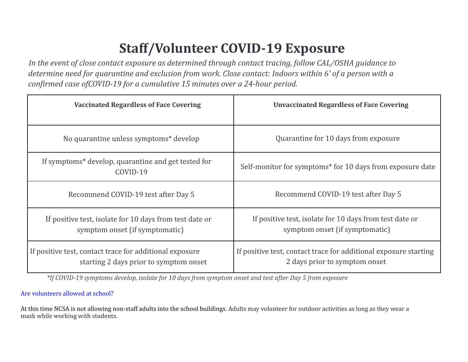# **Staff/Volunteer COVID-19 Exposure**

*In the event of close contact exposure as determined through contact tracing, follow CAL/OSHA guidance to* determine need for quarantine and exclusion from work. Close contact: Indoors within 6' of a person with a *confirmed case ofCOVID-19 for a cumulative 15 minutes over a 24-hour period.*

| <b>Vaccinated Regardless of Face Covering</b>                                                     | <b>Unvaccinated Regardless of Face Covering</b>                                                   |
|---------------------------------------------------------------------------------------------------|---------------------------------------------------------------------------------------------------|
| No quarantine unless symptoms* develop                                                            | Quarantine for 10 days from exposure                                                              |
| If symptoms* develop, quarantine and get tested for<br>COVID-19                                   | Self-monitor for symptoms* for 10 days from exposure date                                         |
| Recommend COVID-19 test after Day 5                                                               | Recommend COVID-19 test after Day 5                                                               |
| If positive test, isolate for 10 days from test date or<br>symptom onset (if symptomatic)         | If positive test, isolate for 10 days from test date or<br>symptom onset (if symptomatic)         |
| If positive test, contact trace for additional exposure<br>starting 2 days prior to symptom onset | If positive test, contact trace for additional exposure starting<br>2 days prior to symptom onset |

\*If COVID-19 symptoms develop, isolate for 10 days from symptom onset and test after Day 5 from exposure

## Are volunteers allowed at school?

At this time NCSA is not allowing non-staff adults into the school buildings. Adults may volunteer for outdoor activities as long as they wear a mask while working with students.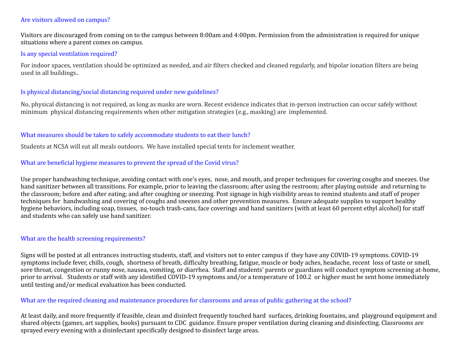#### Are visitors allowed on campus?

Visitors are discouraged from coming on to the campus between 8:00am and 4:00pm. Permission from the administration is required for unique situations where a parent comes on campus.

#### Is any special ventilation required?

For indoor spaces, ventilation should be optimized as needed, and air filters checked and cleaned regularly, and bipolar ionation filters are being used in all buildings..

### Is physical distancing/social distancing required under new guidelines?

No, physical distancing is not required, as long as masks are worn. Recent evidence indicates that in-person instruction can occur safely without minimum physical distancing requirements when other mitigation strategies (e.g., masking) are implemented.

### What measures should be taken to safely accommodate students to eat their lunch?

Students at NCSA will eat all meals outdoors. We have installed special tents for inclement weather.

### What are beneficial hygiene measures to prevent the spread of the Covid virus?

Use proper handwashing technique, avoiding contact with one's eyes, nose, and mouth, and proper techniques for covering coughs and sneezes. Use hand sanitizer between all transitions. For example, prior to leaving the classroom; after using the restroom; after playing outside and returning to the classroom; before and after eating; and after coughing or sneezing. Post signage in high visibility areas to remind students and staff of proper techniques for handwashing and covering of coughs and sneezes and other prevention measures. Ensure adequate supplies to support healthy hygiene behaviors, including soap, tissues, no-touch trash-cans, face coverings and hand sanitizers (with at least 60 percent ethyl alcohol) for staff and students who can safely use hand sanitizer.

#### What are the health screening requirements?

Signs will be posted at all entrances instructing students, staff, and visitors not to enter campus if they have any COVID-19 symptoms. COVID-19 symptoms include fever, chills, cough, shortness of breath, difficulty breathing, fatigue, muscle or body aches, headache, recent loss of taste or smell, sore throat, congestion or runny nose, nausea, vomiting, or diarrhea. Staff and students' parents or guardians will conduct symptom screening at-home, prior to arrival. Students or staff with any identified COVID-19 symptoms and/or a temperature of 100.2 or higher must be sent home immediately until testing and/or medical evaluation has been conducted.

#### What are the required cleaning and maintenance procedures for classrooms and areas of public gathering at the school?

At least daily, and more frequently if feasible, clean and disinfect frequently touched hard surfaces, drinking fountains, and playground equipment and shared objects (games, art supplies, books) pursuant to CDC guidance. Ensure proper ventilation during cleaning and disinfecting. Classrooms are sprayed every evening with a disinfectant specifically designed to disinfect large areas.